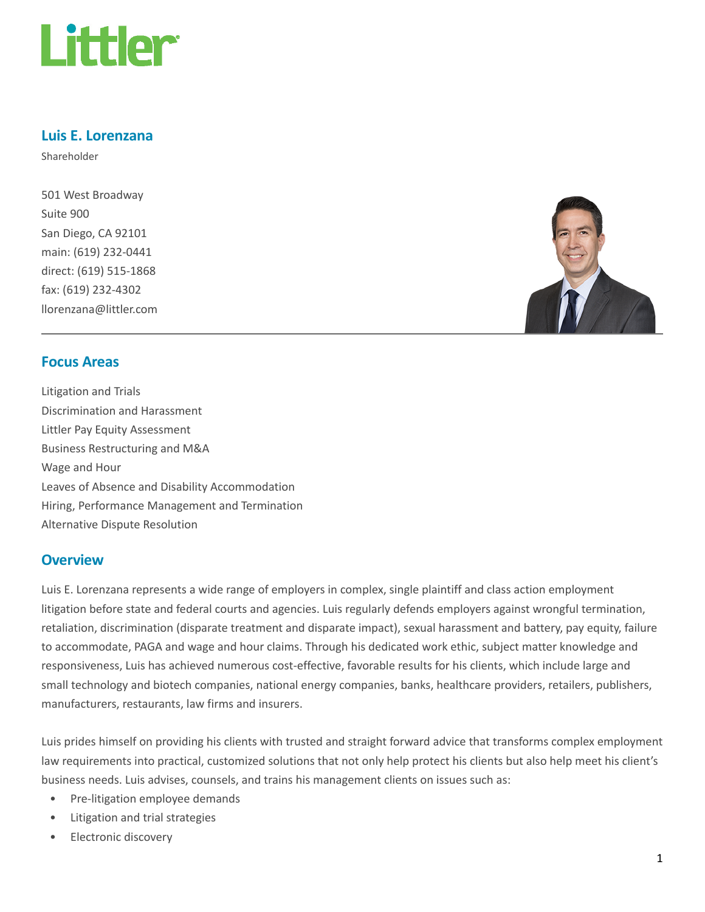

## Luis E. Lorenzana

Shareholder

501 West Broadway Suite 900 San Diego, CA 92101 main: (619) 232-0441 direct: (619) 515-1868 fax: (619) 232-4302 llorenzana@littler.com



#### Focus Areas

Litigation and Trials Discrimination and Harassment Littler Pay Equity Assessment Business Restructuring and M&A Wage and Hour Leaves of Absence and Disability Accommodation Hiring, Performance Management and Termination Alternative Dispute Resolution

#### **Overview**

Luis E. Lorenzana represents a wide range of employers in complex, single plaintiff and class action employment litigation before state and federal courts and agencies. Luis regularly defends employers against wrongful termination, retaliation, discrimination (disparate treatment and disparate impact), sexual harassment and battery, pay equity, failure to accommodate, PAGA and wage and hour claims. Through his dedicated work ethic, subject matter knowledge and responsiveness, Luis has achieved numerous cost-effective, favorable results for his clients, which include large and small technology and biotech companies, national energy companies, banks, healthcare providers, retailers, publishers, manufacturers, restaurants, law firms and insurers.

Luis prides himself on providing his clients with trusted and straight forward advice that transforms complex employment law requirements into practical, customized solutions that not only help protect his clients but also help meet his client's business needs. Luis advises, counsels, and trains his management clients on issues such as:

- Pre-litigation employee demands
- Litigation and trial strategies
- Electronic discovery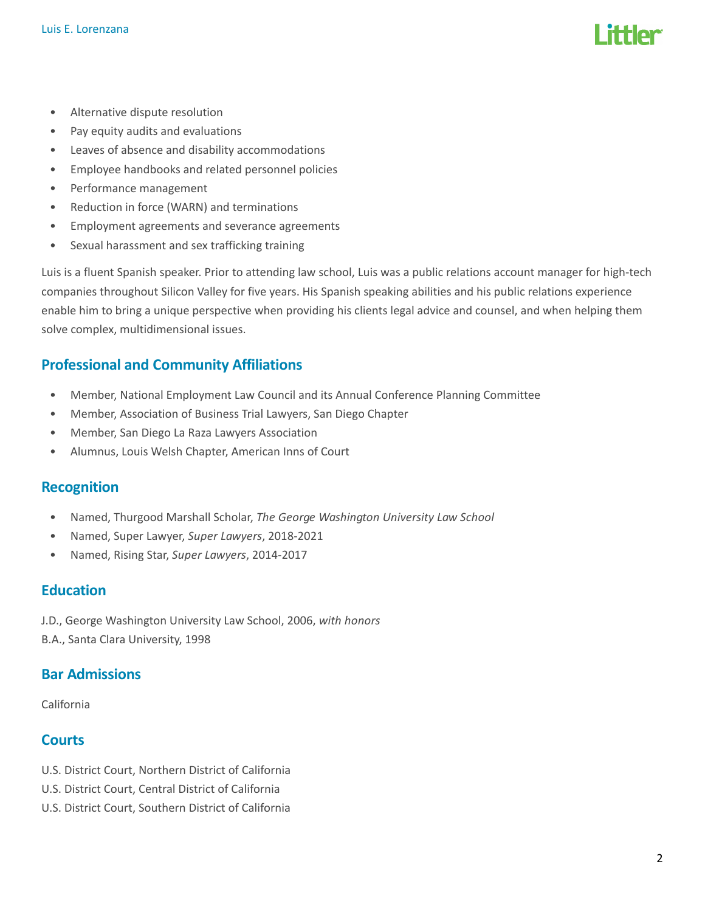- Alternative dispute resolution
- Pay equity audits and evaluations
- Leaves of absence and disability accommodations
- Employee handbooks and related personnel policies
- Performance management
- Reduction in force (WARN) and terminations
- Employment agreements and severance agreements
- Sexual harassment and sex trafficking training

Luis is a fluent Spanish speaker. Prior to attending law school, Luis was a public relations account manager for high-tech companies throughout Silicon Valley for five years. His Spanish speaking abilities and his public relations experience enable him to bring a unique perspective when providing his clients legal advice and counsel, and when helping them solve complex, multidimensional issues.

# Professional and Community Affiliations

- Member, National Employment Law Council and its Annual Conference Planning Committee
- Member, Association of Business Trial Lawyers, San Diego Chapter
- Member, San Diego La Raza Lawyers Association
- Alumnus, Louis Welsh Chapter, American Inns of Court

#### Recognition

- Named, Thurgood Marshall Scholar, The George Washington University Law School
- Named, Super Lawyer, Super Lawyers, 2018-2021
- Named, Rising Star, Super Lawyers, 2014-2017

#### Education

J.D., George Washington University Law School, 2006, with honors B.A., Santa Clara University, 1998

## Bar Admissions

California

## **Courts**

- U.S. District Court, Northern District of California
- U.S. District Court, Central District of California
- U.S. District Court, Southern District of California